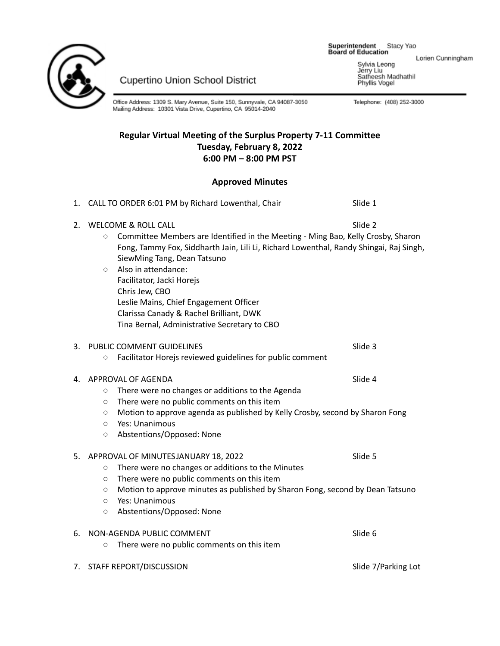Superintendent Stacy Yao<br>Board of Education



Cupertino Union School District

Office Address: 1309 S. Mary Avenue, Suite 150, Sunnyvale, CA 94087-3050<br>Mailing Address: 10301 Vista Drive, Cupertino, CA 95014-2040

# **Regular Virtual Meeting of the Surplus Property 7-11 Committee Tuesday, February 8, 2022 6:00 PM – 8:00 PM PST**

# **Approved Minutes**

|    | 1. CALL TO ORDER 6:01 PM by Richard Lowenthal, Chair                                                                                                                                                                                                                                                                                                                                                                                                              | Slide 1             |
|----|-------------------------------------------------------------------------------------------------------------------------------------------------------------------------------------------------------------------------------------------------------------------------------------------------------------------------------------------------------------------------------------------------------------------------------------------------------------------|---------------------|
| 2. | WELCOME & ROLL CALL<br>Committee Members are Identified in the Meeting - Ming Bao, Kelly Crosby, Sharon<br>$\circ$<br>Fong, Tammy Fox, Siddharth Jain, Lili Li, Richard Lowenthal, Randy Shingai, Raj Singh,<br>SiewMing Tang, Dean Tatsuno<br>Also in attendance:<br>$\circ$<br>Facilitator, Jacki Horejs<br>Chris Jew, CBO<br>Leslie Mains, Chief Engagement Officer<br>Clarissa Canady & Rachel Brilliant, DWK<br>Tina Bernal, Administrative Secretary to CBO | Slide 2             |
| 3. | PUBLIC COMMENT GUIDELINES<br>Facilitator Horejs reviewed guidelines for public comment<br>$\circ$                                                                                                                                                                                                                                                                                                                                                                 | Slide 3             |
|    | 4. APPROVAL OF AGENDA<br>There were no changes or additions to the Agenda<br>$\circ$<br>There were no public comments on this item<br>$\circ$<br>Motion to approve agenda as published by Kelly Crosby, second by Sharon Fong<br>$\circ$<br>Yes: Unanimous<br>$\circ$<br>Abstentions/Opposed: None<br>$\circ$                                                                                                                                                     | Slide 4             |
| 5. | APPROVAL OF MINUTES JANUARY 18, 2022<br>There were no changes or additions to the Minutes<br>$\circ$<br>There were no public comments on this item<br>$\circ$<br>Motion to approve minutes as published by Sharon Fong, second by Dean Tatsuno<br>$\circ$<br>Yes: Unanimous<br>$\circ$<br>Abstentions/Opposed: None<br>$\circ$                                                                                                                                    | Slide 5             |
| 6. | NON-AGENDA PUBLIC COMMENT<br>There were no public comments on this item<br>$\circ$                                                                                                                                                                                                                                                                                                                                                                                | Slide 6             |
| 7. | STAFF REPORT/DISCUSSION                                                                                                                                                                                                                                                                                                                                                                                                                                           | Slide 7/Parking Lot |

Lorien Cunningham

Sylvia Leong<br>Jerry Liu<br>Satheesh Madhathil<br>Phyllis Vogel

Telephone: (408) 252-3000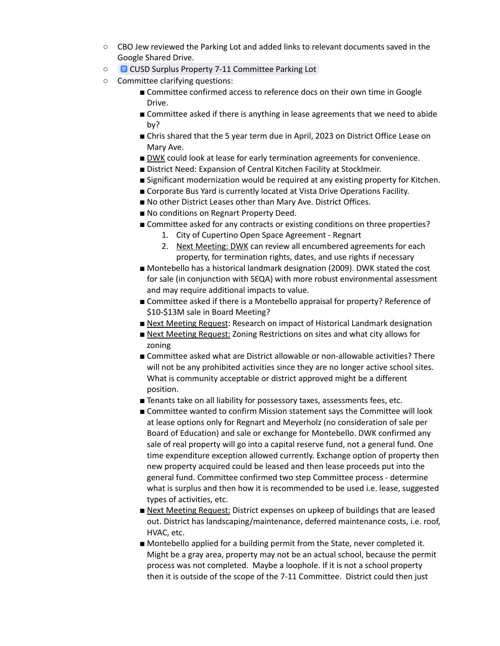- CBO Jew reviewed the Parking Lot and added links to relevant documents saved in the Google Shared Drive.
- CUSD Surplus Property 7-11 [Committee](https://docs.google.com/document/d/1_qYiyP5k6Pg7dBx_AFHtEvDJOSYEkbTOyY0yecW6-xE/edit?usp=sharing) Parking Lot
- Committee clarifying questions:
	- Committee confirmed access to reference docs on their own time in Google Drive.
	- Committee asked if there is anything in lease agreements that we need to abide by?
	- Chris shared that the 5 year term due in April, 2023 on District Office Lease on Mary Ave.
	- DWK could look at lease for early termination agreements for convenience.
	- District Need: Expansion of Central Kitchen Facility at Stocklmeir.
	- Significant modernization would be required at any existing property for Kitchen.
	- Corporate Bus Yard is currently located at Vista Drive Operations Facility.
	- No other District Leases other than Mary Ave. District Offices.
	- No conditions on Regnart Property Deed.
	- Committee asked for any contracts or existing conditions on three properties?
		- 1. City of Cupertino Open Space Agreement Regnart
		- 2. Next Meeting: DWK can review all encumbered agreements for each property, for termination rights, dates, and use rights if necessary
	- Montebello has a historical landmark designation (2009). DWK stated the cost for sale (in conjunction with SEQA) with more robust environmental assessment and may require additional impacts to value.
	- Committee asked if there is a Montebello appraisal for property? Reference of \$10-\$13M sale in Board Meeting?
	- Next Meeting Request: Research on impact of Historical Landmark designation
	- Next Meeting Request: Zoning Restrictions on sites and what city allows for zoning
	- Committee asked what are District allowable or non-allowable activities? There will not be any prohibited activities since they are no longer active school sites. What is community acceptable or district approved might be a different position.
	- Tenants take on all liability for possessory taxes, assessments fees, etc.
	- Committee wanted to confirm Mission statement says the Committee will look at lease options only for Regnart and Meyerholz (no consideration of sale per Board of Education) and sale or exchange for Montebello. DWK confirmed any sale of real property will go into a capital reserve fund, not a general fund. One time expenditure exception allowed currently. Exchange option of property then new property acquired could be leased and then lease proceeds put into the general fund. Committee confirmed two step Committee process - determine what is surplus and then how it is recommended to be used i.e. lease, suggested types of activities, etc.
	- Next Meeting Request: District expenses on upkeep of buildings that are leased out. District has landscaping/maintenance, deferred maintenance costs, i.e. roof, HVAC, etc.
	- Montebello applied for a building permit from the State, never completed it. Might be a gray area, property may not be an actual school, because the permit process was not completed. Maybe a loophole. If it is not a school property then it is outside of the scope of the 7-11 Committee. District could then just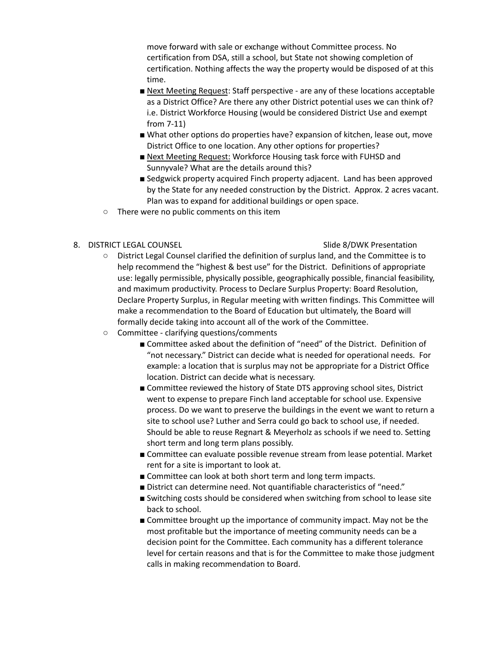move forward with sale or exchange without Committee process. No certification from DSA, still a school, but State not showing completion of certification. Nothing affects the way the property would be disposed of at this time.

- Next Meeting Request: Staff perspective are any of these locations acceptable as a District Office? Are there any other District potential uses we can think of? i.e. District Workforce Housing (would be considered District Use and exempt from 7-11)
- What other options do properties have? expansion of kitchen, lease out, move District Office to one location. Any other options for properties?
- Next Meeting Request: Workforce Housing task force with FUHSD and Sunnyvale? What are the details around this?
- Sedgwick property acquired Finch property adjacent. Land has been approved by the State for any needed construction by the District. Approx. 2 acres vacant. Plan was to expand for additional buildings or open space.
- There were no public comments on this item

## 8. DISTRICT LEGAL COUNSEL Sales and the state of the Side 8/DWK Presentation

- District Legal Counsel clarified the definition of surplus land, and the Committee is to help recommend the "highest & best use" for the District. Definitions of appropriate use: legally permissible, physically possible, geographically possible, financial feasibility, and maximum productivity. Process to Declare Surplus Property: Board Resolution, Declare Property Surplus, in Regular meeting with written findings. This Committee will make a recommendation to the Board of Education but ultimately, the Board will formally decide taking into account all of the work of the Committee.
- Committee clarifying questions/comments
	- Committee asked about the definition of "need" of the District. Definition of "not necessary." District can decide what is needed for operational needs. For example: a location that is surplus may not be appropriate for a District Office location. District can decide what is necessary.
	- Committee reviewed the history of State DTS approving school sites, District went to expense to prepare Finch land acceptable for school use. Expensive process. Do we want to preserve the buildings in the event we want to return a site to school use? Luther and Serra could go back to school use, if needed. Should be able to reuse Regnart & Meyerholz as schools if we need to. Setting short term and long term plans possibly.
	- Committee can evaluate possible revenue stream from lease potential. Market rent for a site is important to look at.
	- Committee can look at both short term and long term impacts.
	- District can determine need. Not quantifiable characteristics of "need."
	- Switching costs should be considered when switching from school to lease site back to school.
	- Committee brought up the importance of community impact. May not be the most profitable but the importance of meeting community needs can be a decision point for the Committee. Each community has a different tolerance level for certain reasons and that is for the Committee to make those judgment calls in making recommendation to Board.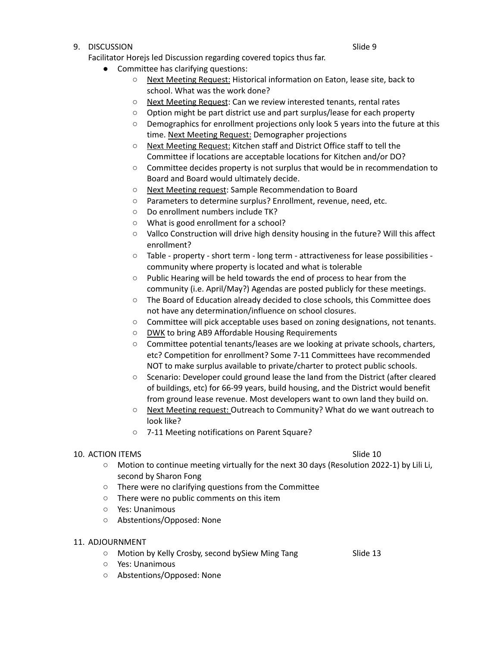## eration of the state of the state of the state of the state of the state of the state of the state of the state of the state of the state of the state of the state of the state of the state of the state of the state of the

Facilitator Horejs led Discussion regarding covered topics thus far.

- Committee has clarifying questions:
	- Next Meeting Request: Historical information on Eaton, lease site, back to school. What was the work done?
	- Next Meeting Request: Can we review interested tenants, rental rates
	- Option might be part district use and part surplus/lease for each property
	- Demographics for enrollment projections only look 5 years into the future at this time. Next Meeting Request: Demographer projections
	- Next Meeting Request: Kitchen staff and District Office staff to tell the Committee if locations are acceptable locations for Kitchen and/or DO?
	- Committee decides property is not surplus that would be in recommendation to Board and Board would ultimately decide.
	- Next Meeting request: Sample Recommendation to Board
	- Parameters to determine surplus? Enrollment, revenue, need, etc.
	- Do enrollment numbers include TK?
	- What is good enrollment for a school?
	- Vallco Construction will drive high density housing in the future? Will this affect enrollment?
	- Table property short term long term attractiveness for lease possibilities community where property is located and what is tolerable
	- Public Hearing will be held towards the end of process to hear from the community (i.e. April/May?) Agendas are posted publicly for these meetings.
	- The Board of Education already decided to close schools, this Committee does not have any determination/influence on school closures.
	- Committee will pick acceptable uses based on zoning designations, not tenants.
	- DWK to bring AB9 Affordable Housing Requirements
	- Committee potential tenants/leases are we looking at private schools, charters, etc? Competition for enrollment? Some 7-11 Committees have recommended NOT to make surplus available to private/charter to protect public schools.
	- Scenario: Developer could ground lease the land from the District (after cleared of buildings, etc) for 66-99 years, build housing, and the District would benefit from ground lease revenue. Most developers want to own land they build on.
	- Next Meeting request: Outreach to Community? What do we want outreach to look like?
	- 7-11 Meeting notifications on Parent Square?

### 10. ACTION ITEMS Slide 10

- Motion to continue meeting virtually for the next 30 days (Resolution 2022-1) by Lili Li, second by Sharon Fong
- There were no clarifying questions from the Committee
- There were no public comments on this item
- Yes: Unanimous
- Abstentions/Opposed: None
- 11. ADJOURNMENT
	- Motion by Kelly Crosby, second bySiew Ming Tang Slide 13
	- Yes: Unanimous
	- Abstentions/Opposed: None